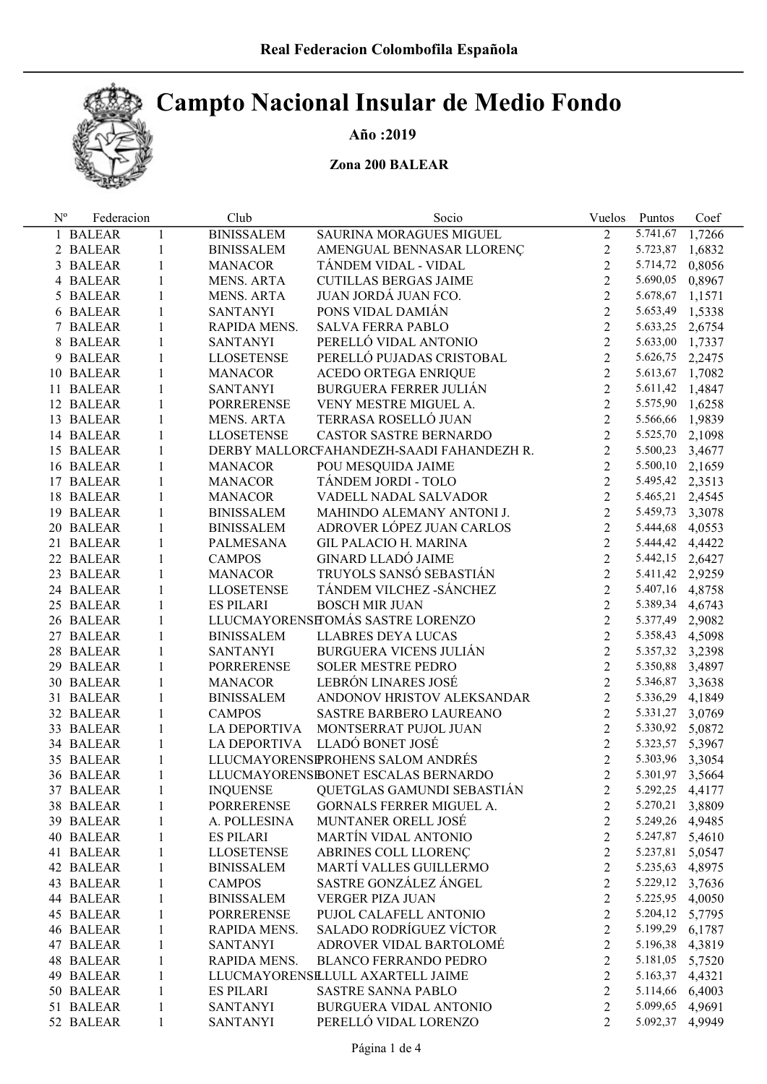# Campto Nacional Insular de Medio Fondo

#### Año :2019

### Zona 200 BALEAR

| <b>BINISSALEM</b><br>$\overline{2}$<br>5.741,67<br>SAURINA MORAGUES MIGUEL<br>1 BALEAR<br>$\mathbf{1}$<br>$\overline{2}$<br>2 BALEAR<br>$\mathbf{1}$<br><b>BINISSALEM</b><br>AMENGUAL BENNASAR LLORENÇ | 1,7266<br>5.723,87 1,6832<br>0,8056 |
|--------------------------------------------------------------------------------------------------------------------------------------------------------------------------------------------------------|-------------------------------------|
|                                                                                                                                                                                                        |                                     |
|                                                                                                                                                                                                        |                                     |
| $\overline{2}$<br>TÁNDEM VIDAL - VIDAL<br>5.714,72<br>3 BALEAR<br>$\mathbf{1}$<br><b>MANACOR</b>                                                                                                       |                                     |
| $\overline{2}$<br>5.690,05<br>4 BALEAR<br>$\mathbf{1}$<br>MENS. ARTA<br><b>CUTILLAS BERGAS JAIME</b>                                                                                                   | 0,8967                              |
| $\overline{2}$<br>JUAN JORDÁ JUAN FCO.<br>5.678,67<br>5 BALEAR<br>1<br>MENS. ARTA                                                                                                                      | 1,1571                              |
| $\overline{2}$<br>PONS VIDAL DAMIÁN<br>$\mathbf{1}$<br><b>SANTANYI</b><br>6 BALEAR                                                                                                                     | 5.653,49 1,5338                     |
| $\overline{2}$<br>5.633,25<br>1<br>RAPIDA MENS.<br><b>SALVA FERRA PABLO</b><br>7 BALEAR                                                                                                                | 2,6754                              |
| $\overline{2}$<br>PERELLÓ VIDAL ANTONIO<br>$\mathbf{1}$<br><b>SANTANYI</b><br>8 BALEAR                                                                                                                 | 5.633,00 1,7337                     |
| $\overline{2}$<br>PERELLÓ PUJADAS CRISTOBAL<br>5.626,75<br>9 BALEAR<br>1<br><b>LLOSETENSE</b>                                                                                                          | 2,2475                              |
| $\overline{2}$<br>1<br><b>MANACOR</b><br>ACEDO ORTEGA ENRIQUE<br>10 BALEAR                                                                                                                             | 5.613,67 1,7082                     |
| $\overline{2}$<br>1<br><b>SANTANYI</b><br><b>BURGUERA FERRER JULIAN</b><br>11 BALEAR                                                                                                                   | 5.611,42 1,4847                     |
| $\overline{2}$<br>12 BALEAR<br>1<br>PORRERENSE<br>VENY MESTRE MIGUEL A.                                                                                                                                | 5.575,90 1,6258                     |
| $\overline{2}$<br>TERRASA ROSELLÓ JUAN<br>13 BALEAR<br>1<br>MENS. ARTA                                                                                                                                 | 5.566,66 1,9839                     |
| $\overline{2}$<br>14 BALEAR<br>1<br><b>LLOSETENSE</b><br>CASTOR SASTRE BERNARDO                                                                                                                        | 5.525,70 2,1098                     |
| $\overline{2}$<br>15 BALEAR<br>1<br>DERBY MALLORCFAHANDEZH-SAADI FAHANDEZH R.<br>5.500,23                                                                                                              | 3,4677                              |
| $\overline{2}$<br>16 BALEAR<br>1<br><b>MANACOR</b><br>POU MESQUIDA JAIME<br>5.500,10                                                                                                                   | 2,1659                              |
| $\overline{2}$<br>TÁNDEM JORDI - TOLO<br>17 BALEAR<br>1<br><b>MANACOR</b><br>5.495,42                                                                                                                  | 2,3513                              |
| $\overline{2}$<br>18 BALEAR<br>1<br><b>MANACOR</b><br>VADELL NADAL SALVADOR<br>5.465,21                                                                                                                | 2,4545                              |
| $\overline{2}$<br>19 BALEAR<br>1<br><b>BINISSALEM</b><br>MAHINDO ALEMANY ANTONI J.<br>5.459,73                                                                                                         | 3,3078                              |
| $\overline{2}$<br>ADROVER LÓPEZ JUAN CARLOS<br>20 BALEAR<br>1<br><b>BINISSALEM</b><br>5.444,68                                                                                                         | 4,0553                              |
| $\overline{2}$<br><b>GIL PALACIO H. MARINA</b><br>21 BALEAR<br>1<br>PALMESANA<br>5.444,42                                                                                                              | 4,4422                              |
| $\overline{2}$<br><b>GINARD LLADÓ JAIME</b><br>22 BALEAR<br>$\mathbf{1}$<br><b>CAMPOS</b><br>5.442,15                                                                                                  | 2,6427                              |
| $\overline{2}$<br>TRUYOLS SANSÓ SEBASTIÁN<br>23 BALEAR<br>$\mathbf{1}$<br><b>MANACOR</b>                                                                                                               | 5.411,42 2,9259                     |
| $\overline{2}$<br>TÁNDEM VILCHEZ - SÁNCHEZ<br>24 BALEAR<br>$\mathbf{1}$<br><b>LLOSETENSE</b>                                                                                                           | 5.407,16 4,8758                     |
| $\overline{2}$<br>$\mathbf{1}$<br><b>ES PILARI</b><br><b>BOSCH MIR JUAN</b><br>5.389,34<br>25 BALEAR                                                                                                   | 4,6743                              |
| $\overline{2}$<br>LLUCMAYORENSETOMÁS SASTRE LORENZO<br>$\mathbf{1}$<br>5.377,49<br>26 BALEAR                                                                                                           | 2,9082                              |
| $\overline{2}$<br>$\mathbf{1}$<br><b>BINISSALEM</b><br>LLABRES DEYA LUCAS<br>27 BALEAR                                                                                                                 | 5.358,43 4,5098                     |
| $\overline{2}$<br><b>BURGUERA VICENS JULIÁN</b><br>$\mathbf{1}$<br><b>SANTANYI</b><br>28 BALEAR                                                                                                        | 5.357,32 3,2398                     |
| $\overline{2}$<br>SOLER MESTRE PEDRO<br>29 BALEAR<br>1<br>PORRERENSE                                                                                                                                   | 5.350,88 3,4897                     |
| $\overline{2}$<br>LEBRÓN LINARES JOSÉ<br>30 BALEAR<br>1<br><b>MANACOR</b><br>5.346,87                                                                                                                  | 3,3638                              |
| $\overline{2}$<br>31 BALEAR<br>1<br><b>BINISSALEM</b><br>ANDONOV HRISTOV ALEKSANDAR<br>5.336,29                                                                                                        | 4,1849                              |
| $\overline{2}$<br>32 BALEAR<br>$\mathbf{1}$<br><b>CAMPOS</b><br>SASTRE BARBERO LAUREANO<br>5.331,27                                                                                                    | 3,0769                              |
| $\overline{2}$<br>MONTSERRAT PUJOL JUAN<br>33 BALEAR<br>$\mathbf{1}$<br>LA DEPORTIVA<br>5.330,92                                                                                                       | 5,0872                              |
| LLADÓ BONET JOSÉ<br>$\overline{2}$<br>34 BALEAR<br>$\mathbf{1}$<br>LA DEPORTIVA<br>5.323,57                                                                                                            | 5,3967                              |
| $\overline{2}$<br>LLUCMAYORENSPROHENS SALOM ANDRÉS<br>35 BALEAR<br>$\mathbf{1}$                                                                                                                        | 5.303,96 3,3054                     |
| $\overline{2}$<br>LLUCMAYORENSIBONET ESCALAS BERNARDO<br>36 BALEAR<br>1                                                                                                                                | 5.301,97 3,5664                     |
| QUETGLAS GAMUNDI SEBASTIÁN<br>37 BALEAR<br><b>INQUENSE</b><br>2<br>$\mathbf{I}$                                                                                                                        | 5.292,25 4,4177                     |
| <b>PORRERENSE</b><br>GORNALS FERRER MIGUEL A.<br>2<br>5.270,21<br>38 BALEAR<br>1                                                                                                                       | 3,8809                              |
| MUNTANER ORELL JOSÉ<br>$\overline{c}$<br>39 BALEAR<br>A. POLLESINA<br>1                                                                                                                                | 5.249,26 4,9485                     |
| MARTÍN VIDAL ANTONIO<br>$\overline{c}$<br>5.247,87<br>40 BALEAR<br>1<br><b>ES PILARI</b>                                                                                                               | 5,4610                              |
| ABRINES COLL LLORENÇ<br>$\overline{c}$<br><b>LLOSETENSE</b><br>5.237,81<br>41 BALEAR<br>1                                                                                                              | 5,0547                              |
| MARTÍ VALLES GUILLERMO<br>$\overline{c}$<br>5.235,63<br>42 BALEAR<br><b>BINISSALEM</b><br>1                                                                                                            | 4,8975                              |
| SASTRE GONZÁLEZ ÁNGEL<br>$\overline{c}$<br>43 BALEAR<br><b>CAMPOS</b><br>1                                                                                                                             | 5.229,12 3,7636                     |
| $\overline{c}$<br><b>VERGER PIZA JUAN</b><br>5.225,95<br>44 BALEAR<br><b>BINISSALEM</b><br>1                                                                                                           | 4,0050                              |
| $\overline{c}$<br>PUJOL CALAFELL ANTONIO<br>5.204,12<br>45 BALEAR<br><b>PORRERENSE</b><br>1                                                                                                            | 5,7795                              |
| $\overline{c}$<br>SALADO RODRÍGUEZ VÍCTOR<br>5.199,29<br>46 BALEAR<br>RAPIDA MENS.<br>1                                                                                                                | 6,1787                              |
| $\overline{c}$<br>ADROVER VIDAL BARTOLOMÉ<br>5.196,38<br>47 BALEAR<br><b>SANTANYI</b><br>1                                                                                                             | 4,3819                              |
| $\overline{c}$<br><b>BLANCO FERRANDO PEDRO</b><br>5.181,05<br>48 BALEAR<br>1<br>RAPIDA MENS.                                                                                                           | 5,7520                              |
| $\overline{c}$<br>LLUCMAYORENSELULL AXARTELL JAIME<br>5.163,37<br>49 BALEAR<br>1                                                                                                                       | 4,4321                              |
| $\overline{2}$<br>SASTRE SANNA PABLO<br>5.114,66<br>50 BALEAR<br>1<br><b>ES PILARI</b>                                                                                                                 | 6,4003                              |
| 51 BALEAR<br>BURGUERA VIDAL ANTONIO<br>$\overline{c}$<br>5.099,65<br><b>SANTANYI</b><br>1                                                                                                              | 4,9691                              |
| PERELLÓ VIDAL LORENZO<br>$\overline{2}$<br>52 BALEAR<br>5.092,37<br>$\mathbf{1}$<br><b>SANTANYI</b>                                                                                                    | 4,9949                              |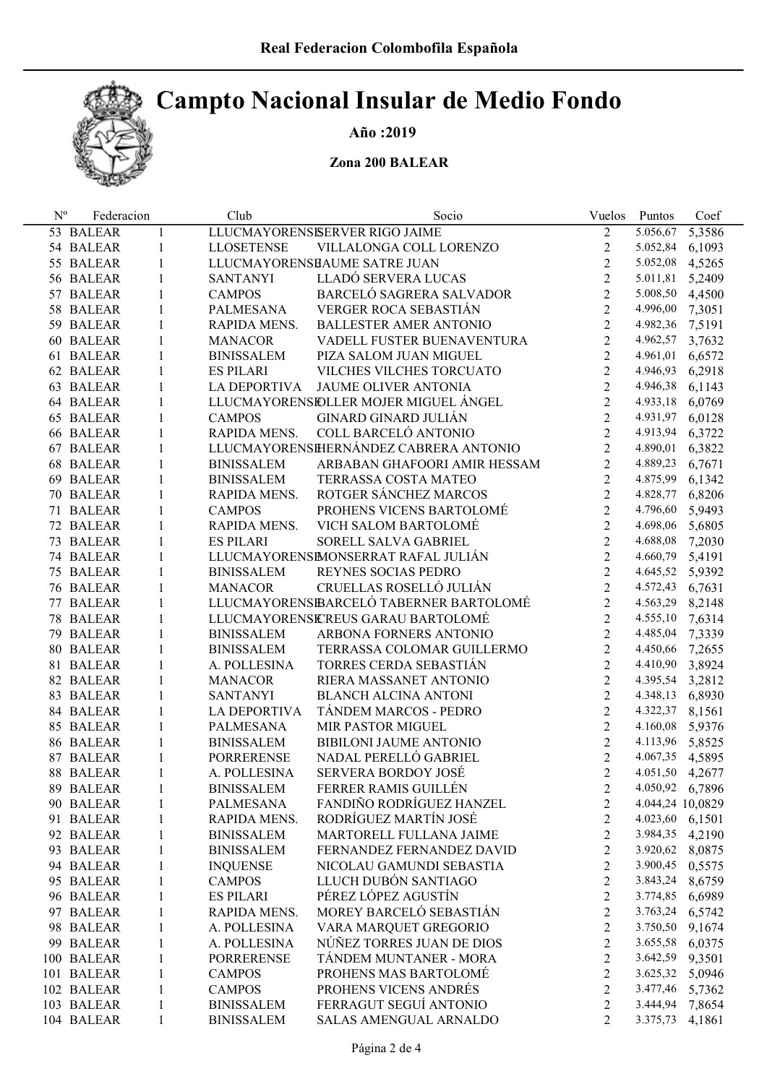## Campto Nacional Insular de Medio Fondo

## Año :2019

### Zona 200 BALEAR

| $N^{\rm o}$ | Federacion |              | Club                | Socio                                  | Vuelos                  | Puntos           | Coef   |
|-------------|------------|--------------|---------------------|----------------------------------------|-------------------------|------------------|--------|
|             | 53 BALEAR  | $\mathbf{1}$ |                     | LLUCMAYORENSISERVER RIGO JAIME         | $\overline{2}$          | 5.056,67         | 5,3586 |
|             | 54 BALEAR  | $\mathbf{1}$ | <b>LLOSETENSE</b>   | VILLALONGA COLL LORENZO                | $\overline{2}$          | 5.052,84         | 6,1093 |
|             | 55 BALEAR  | $\mathbf{1}$ |                     | LLUCMAYORENSHAUME SATRE JUAN           | $\overline{2}$          | 5.052,08 4,5265  |        |
|             | 56 BALEAR  | $\mathbf{1}$ | <b>SANTANYI</b>     | LLADÓ SERVERA LUCAS                    | $\overline{2}$          | 5.011,81         | 5,2409 |
|             | 57 BALEAR  | $\mathbf{1}$ | <b>CAMPOS</b>       | BARCELÓ SAGRERA SALVADOR               | $\overline{2}$          | 5.008,50 4,4500  |        |
|             | 58 BALEAR  | $\mathbf{1}$ | PALMESANA           | VERGER ROCA SEBASTIÁN                  | $\overline{2}$          | 4.996,00 7,3051  |        |
|             | 59 BALEAR  | $\mathbf{1}$ | RAPIDA MENS.        | <b>BALLESTER AMER ANTONIO</b>          | $\overline{2}$          | 4.982,36 7,5191  |        |
|             | 60 BALEAR  | $\mathbf{1}$ | <b>MANACOR</b>      | VADELL FUSTER BUENAVENTURA             | $\overline{2}$          | 4.962,57         | 3,7632 |
|             | 61 BALEAR  | $\mathbf{1}$ | <b>BINISSALEM</b>   | PIZA SALOM JUAN MIGUEL                 | $\overline{2}$          | 4.961,01         | 6,6572 |
|             | 62 BALEAR  | $\mathbf{1}$ | <b>ES PILARI</b>    | VILCHES VILCHES TORCUATO               | $\overline{2}$          | 4.946,93         | 6,2918 |
|             | 63 BALEAR  | $\mathbf{1}$ |                     | LA DEPORTIVA JAUME OLIVER ANTONIA      | $\overline{2}$          | 4.946,38 6,1143  |        |
|             | 64 BALEAR  | $\mathbf{1}$ |                     | LLUCMAYORENSIDLLER MOJER MIGUEL ÁNGEL  | $\overline{2}$          | 4.933,18 6,0769  |        |
|             | 65 BALEAR  | $\mathbf{1}$ | <b>CAMPOS</b>       | <b>GINARD GINARD JULIÁN</b>            | $\overline{2}$          | 4.931,97         | 6,0128 |
|             | 66 BALEAR  | $\mathbf{1}$ | RAPIDA MENS.        | COLL BARCELÓ ANTONIO                   | $\overline{2}$          | 4.913,94         | 6,3722 |
|             | 67 BALEAR  | $\mathbf{1}$ |                     | LLUCMAYORENSHERNÁNDEZ CABRERA ANTONIO  | $\overline{2}$          | 4.890,01         | 6,3822 |
|             | 68 BALEAR  | $\mathbf{1}$ | <b>BINISSALEM</b>   | ARBABAN GHAFOORI AMIR HESSAM           | $\overline{2}$          | 4.889,23         | 6,7671 |
|             | 69 BALEAR  | $\mathbf{1}$ | <b>BINISSALEM</b>   | TERRASSA COSTA MATEO                   | $\overline{2}$          | 4.875,99         | 6,1342 |
|             | 70 BALEAR  | $\mathbf{1}$ | RAPIDA MENS.        | ROTGER SÁNCHEZ MARCOS                  | $\overline{2}$          | 4.828,77         | 6,8206 |
|             | 71 BALEAR  | $\mathbf{1}$ | <b>CAMPOS</b>       | PROHENS VICENS BARTOLOMÉ               | $\overline{2}$          | 4.796,60         | 5,9493 |
|             | 72 BALEAR  | $\mathbf{1}$ | RAPIDA MENS.        | VICH SALOM BARTOLOMÉ                   | $\overline{2}$          | 4.698,06         | 5,6805 |
|             | 73 BALEAR  | $\mathbf{1}$ | <b>ES PILARI</b>    | SORELL SALVA GABRIEL                   | $\overline{2}$          | 4.688,08         | 7,2030 |
|             | 74 BALEAR  | $\mathbf{1}$ |                     | LLUCMAYORENSIMONSERRAT RAFAL JULIÁN    | $\overline{2}$          | 4.660,79         | 5,4191 |
|             | 75 BALEAR  | $\mathbf{1}$ | <b>BINISSALEM</b>   | REYNES SOCIAS PEDRO                    | $\overline{2}$          | 4.645,52 5,9392  |        |
|             | 76 BALEAR  | $\mathbf{1}$ | <b>MANACOR</b>      | CRUELLAS ROSELLÓ JULIÁN                | $\overline{2}$          | 4.572,43 6,7631  |        |
|             | 77 BALEAR  | $\mathbf{1}$ |                     | LLUCMAYORENSEARCELÓ TABERNER BARTOLOMÉ | $\overline{2}$          | 4.563,29 8,2148  |        |
|             | 78 BALEAR  | $\mathbf{1}$ |                     | LLUCMAYORENSICREUS GARAU BARTOLOMÉ     | $\overline{2}$          | 4.555,10 7,6314  |        |
|             | 79 BALEAR  | $\mathbf{1}$ | <b>BINISSALEM</b>   | ARBONA FORNERS ANTONIO                 | $\overline{2}$          | 4.485,04 7,3339  |        |
|             | 80 BALEAR  | $\mathbf{1}$ | <b>BINISSALEM</b>   | TERRASSA COLOMAR GUILLERMO             | $\overline{2}$          | 4.450,66 7,2655  |        |
|             | 81 BALEAR  | $\mathbf{1}$ | A. POLLESINA        | TORRES CERDA SEBASTIÁN                 | $\overline{2}$          | 4.410,90 3,8924  |        |
|             | 82 BALEAR  | $\mathbf{1}$ | <b>MANACOR</b>      | RIERA MASSANET ANTONIO                 | $\overline{2}$          | 4.395,54 3,2812  |        |
|             | 83 BALEAR  | $\mathbf{1}$ | <b>SANTANYI</b>     | <b>BLANCH ALCINA ANTONI</b>            | $\overline{2}$          | 4.348,13 6,8930  |        |
|             | 84 BALEAR  | $\mathbf{1}$ | <b>LA DEPORTIVA</b> | TÁNDEM MARCOS - PEDRO                  | $\overline{2}$          | 4.322,37 8,1561  |        |
|             | 85 BALEAR  | $\mathbf{1}$ | PALMESANA           | <b>MIR PASTOR MIGUEL</b>               | $\overline{2}$          | 4.160,08 5,9376  |        |
|             | 86 BALEAR  | $\mathbf{1}$ | <b>BINISSALEM</b>   | BIBILONI JAUME ANTONIO                 | $\overline{2}$          | 4.113,96 5,8525  |        |
|             | 87 BALEAR  | $\mathbf{1}$ | <b>PORRERENSE</b>   | NADAL PERELLÓ GABRIEL                  | $\overline{2}$          | 4.067,35 4,5895  |        |
|             | 88 BALEAR  | $\mathbf{1}$ | A. POLLESINA        | <b>SERVERA BORDOY JOSÉ</b>             | $\overline{2}$          | 4.051,50 4,2677  |        |
|             | 89 BALEAR  |              | <b>BINISSALEM</b>   | FERRER RAMIS GUILLÉN                   | $\overline{c}$          | 4.050,92 6,7896  |        |
|             | 90 BALEAR  | 1            | PALMESANA           | FANDIÑO RODRÍGUEZ HANZEL               | $\overline{\mathbf{c}}$ | 4.044,24 10,0829 |        |
|             | 91 BALEAR  | 1            | RAPIDA MENS.        | RODRÍGUEZ MARTÍN JOSÉ                  | $\overline{c}$          | 4.023,60 6,1501  |        |
|             | 92 BALEAR  | 1            | <b>BINISSALEM</b>   | MARTORELL FULLANA JAIME                | $\overline{c}$          | 3.984,35         | 4,2190 |
|             | 93 BALEAR  | $\mathbf{1}$ | <b>BINISSALEM</b>   | FERNANDEZ FERNANDEZ DAVID              | $\overline{c}$          | 3.920,62         | 8,0875 |
|             | 94 BALEAR  | $\mathbf{1}$ | <b>INQUENSE</b>     | NICOLAU GAMUNDI SEBASTIA               | $\overline{c}$          | 3.900,45         | 0,5575 |
|             | 95 BALEAR  | $\mathbf{1}$ | <b>CAMPOS</b>       | LLUCH DUBÓN SANTIAGO                   | $\overline{c}$          | 3.843,24         | 8,6759 |
|             | 96 BALEAR  | $\mathbf{1}$ | <b>ES PILARI</b>    | PÉREZ LÓPEZ AGUSTÍN                    | $\overline{c}$          | 3.774,85         | 6,6989 |
|             | 97 BALEAR  | $\mathbf{1}$ | RAPIDA MENS.        | MOREY BARCELÓ SEBASTIÁN                | $\overline{c}$          | 3.763,24         | 6,5742 |
|             | 98 BALEAR  | 1            | A. POLLESINA        | VARA MARQUET GREGORIO                  | $\overline{c}$          | 3.750,50         | 9,1674 |
|             | 99 BALEAR  | 1            | A. POLLESINA        | NÚÑEZ TORRES JUAN DE DIOS              | $\overline{c}$          | 3.655,58         | 6,0375 |
|             | 100 BALEAR | $\mathbf{1}$ | <b>PORRERENSE</b>   | TÁNDEM MUNTANER - MORA                 | $\overline{c}$          | 3.642,59         | 9,3501 |
|             | 101 BALEAR | $\mathbf{1}$ | <b>CAMPOS</b>       | PROHENS MAS BARTOLOMÉ                  | $\overline{c}$          | 3.625,32         | 5,0946 |
|             | 102 BALEAR | $\mathbf{1}$ | <b>CAMPOS</b>       | PROHENS VICENS ANDRÉS                  | $\overline{c}$          | 3.477,46         | 5,7362 |
|             | 103 BALEAR | 1            | <b>BINISSALEM</b>   | FERRAGUT SEGUÍ ANTONIO                 | $\overline{c}$          | 3.444,94         | 7,8654 |
|             | 104 BALEAR | $\mathbf{1}$ | <b>BINISSALEM</b>   | SALAS AMENGUAL ARNALDO                 | $\overline{c}$          | 3.375,73         | 4,1861 |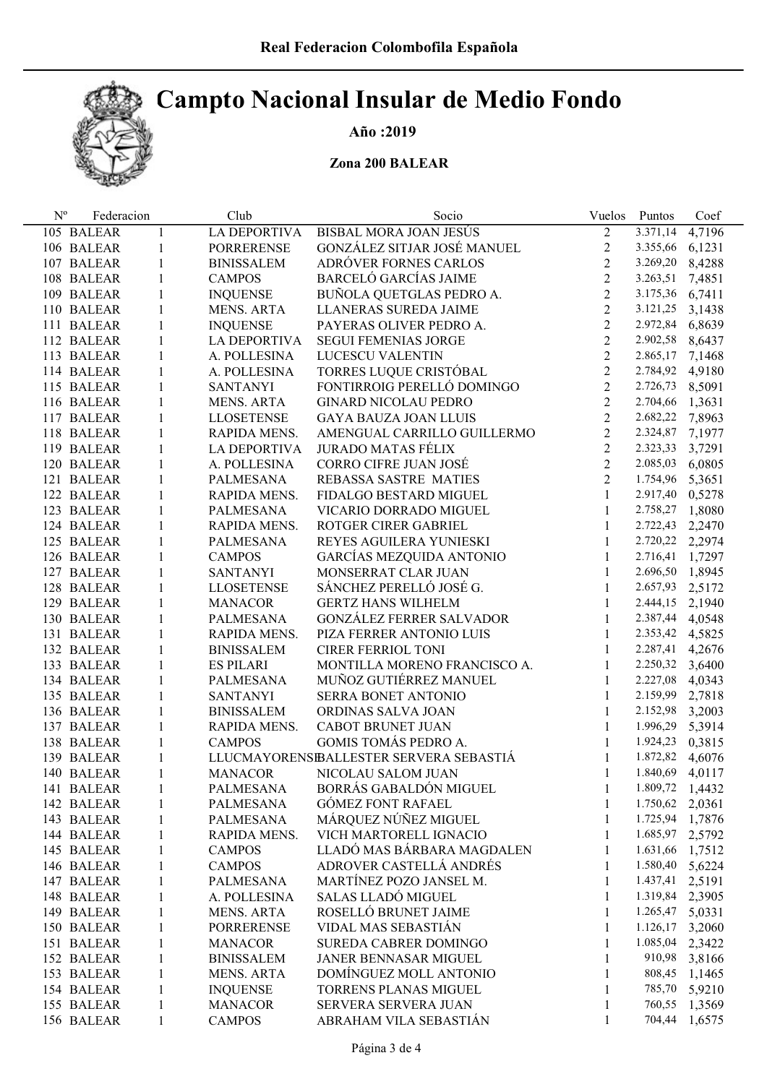## Campto Nacional Insular de Medio Fondo



## Año :2019

### Zona 200 BALEAR

| $N^{\rm o}$ | Federacion |              | Club                           | Socio                                  | Vuelos         | Puntos                             | Coef   |
|-------------|------------|--------------|--------------------------------|----------------------------------------|----------------|------------------------------------|--------|
|             | 105 BALEAR | 1            | <b>LA DEPORTIVA</b>            | <b>BISBAL MORA JOAN JESUS</b>          | $\overline{2}$ | 3.371,14                           | 4,7196 |
|             | 106 BALEAR | 1            | <b>PORRERENSE</b>              | GONZÁLEZ SITJAR JOSÉ MANUEL            | $\overline{2}$ | 3.355,66 6,1231                    |        |
|             | 107 BALEAR | 1            | <b>BINISSALEM</b>              | ADRÓVER FORNES CARLOS                  | $\overline{2}$ | 3.269,20 8,4288                    |        |
|             | 108 BALEAR | 1            | <b>CAMPOS</b>                  | <b>BARCELÓ GARCÍAS JAIME</b>           | $\overline{2}$ | 3.263,51 7,4851                    |        |
|             | 109 BALEAR | 1            | <b>INQUENSE</b>                | BUÑOLA QUETGLAS PEDRO A.               | $\overline{2}$ | 3.175,36 6,7411                    |        |
|             | 110 BALEAR | 1            | MENS. ARTA                     | LLANERAS SUREDA JAIME                  | $\overline{2}$ | 3.121,25 3,1438                    |        |
|             | 111 BALEAR | 1            | <b>INQUENSE</b>                | PAYERAS OLIVER PEDRO A.                | $\overline{2}$ | 2.972,84 6,8639                    |        |
|             | 112 BALEAR | 1            | LA DEPORTIVA                   | <b>SEGUI FEMENIAS JORGE</b>            | $\overline{2}$ | 2.902,58 8,6437                    |        |
|             | 113 BALEAR | 1            | A. POLLESINA                   | LUCESCU VALENTIN                       | $\overline{2}$ | 2.865,17 7,1468                    |        |
|             | 114 BALEAR | 1            | A. POLLESINA                   | TORRES LUQUE CRISTÓBAL                 | $\overline{2}$ | 2.784,92 4,9180                    |        |
|             | 115 BALEAR | 1            | <b>SANTANYI</b>                | FONTIRROIG PERELLÓ DOMINGO             | $\overline{2}$ | 2.726,73 8,5091                    |        |
|             | 116 BALEAR | 1            | MENS. ARTA                     | <b>GINARD NICOLAU PEDRO</b>            | $\overline{2}$ | 2.704,66 1,3631                    |        |
|             | 117 BALEAR | 1            | <b>LLOSETENSE</b>              | <b>GAYA BAUZA JOAN LLUIS</b>           | $\overline{2}$ | 2.682,22 7,8963                    |        |
|             | 118 BALEAR | 1            | RAPIDA MENS.                   | AMENGUAL CARRILLO GUILLERMO            | 2              | 2.324,87 7,1977                    |        |
|             | 119 BALEAR | 1            | LA DEPORTIVA                   | <b>JURADO MATAS FÉLIX</b>              | $\overline{2}$ | 2.323,33 3,7291                    |        |
|             | 120 BALEAR | 1            | A. POLLESINA                   | CORRO CIFRE JUAN JOSÉ                  | $\overline{2}$ | 2.085,03 6,0805                    |        |
|             | 121 BALEAR | 1            | PALMESANA                      | REBASSA SASTRE MATIES                  | $\overline{2}$ | 1.754,96 5,3651                    |        |
|             | 122 BALEAR | 1            | RAPIDA MENS.                   | FIDALGO BESTARD MIGUEL                 | $\mathbf{1}$   | 2.917,40 0,5278                    |        |
|             | 123 BALEAR | 1            | PALMESANA                      | VICARIO DORRADO MIGUEL                 | $\mathbf{1}$   | 2.758,27 1,8080                    |        |
|             | 124 BALEAR | 1            | RAPIDA MENS.                   | ROTGER CIRER GABRIEL                   | $\mathbf{1}$   | 2.722,43 2,2470                    |        |
|             | 125 BALEAR | 1            | PALMESANA                      | REYES AGUILERA YUNIESKI                | $\mathbf{1}$   | 2.720,22 2,2974                    |        |
|             | 126 BALEAR | 1            | <b>CAMPOS</b>                  | GARCÍAS MEZQUIDA ANTONIO               | $\mathbf{1}$   | 2.716,41 1,7297                    |        |
|             | 127 BALEAR | 1            | SANTANYI                       | MONSERRAT CLAR JUAN                    | $\mathbf{1}$   | 2.696,50 1,8945                    |        |
|             | 128 BALEAR | 1            | <b>LLOSETENSE</b>              | SÁNCHEZ PERELLÓ JOSÉ G.                | $\mathbf{1}$   | 2.657,93 2,5172                    |        |
|             | 129 BALEAR | 1            | <b>MANACOR</b>                 | <b>GERTZ HANS WILHELM</b>              | $\mathbf{1}$   | 2.444,15 2,1940                    |        |
|             | 130 BALEAR | 1            | PALMESANA                      | <b>GONZÁLEZ FERRER SALVADOR</b>        | $\mathbf{1}$   | 2.387,44 4,0548                    |        |
|             | 131 BALEAR | 1            | RAPIDA MENS.                   | PIZA FERRER ANTONIO LUIS               | $\mathbf{1}$   | 2.353,42 4,5825                    |        |
|             | 132 BALEAR | 1            | <b>BINISSALEM</b>              | <b>CIRER FERRIOL TONI</b>              | $\mathbf{1}$   | 2.287,41 4,2676                    |        |
|             | 133 BALEAR | 1            | <b>ES PILARI</b>               | MONTILLA MORENO FRANCISCO A.           | $\mathbf{1}$   | 2.250,32 3,6400                    |        |
|             | 134 BALEAR | 1            | PALMESANA                      | MUÑOZ GUTIÉRREZ MANUEL                 | $\mathbf{1}$   | 2.227,08 4,0343                    |        |
|             | 135 BALEAR | 1            | <b>SANTANYI</b>                | SERRA BONET ANTONIO                    | $\mathbf{1}$   | 2.159,99 2,7818                    |        |
|             | 136 BALEAR | 1            | <b>BINISSALEM</b>              | ORDINAS SALVA JOAN                     | $\mathbf{1}$   | 2.152,98 3,2003                    |        |
|             | 137 BALEAR | 1            | RAPIDA MENS.                   | CABOT BRUNET JUAN                      | $\mathbf{1}$   | 1.996,29 5,3914                    |        |
|             | 138 BALEAR | 1            | <b>CAMPOS</b>                  | GOMIS TOMÁS PEDRO A.                   | $\mathbf{1}$   | 1.924,23 0,3815                    |        |
|             | 139 BALEAR | 1            |                                | LLUCMAYORENSEALLESTER SERVERA SEBASTIÁ | $\mathbf{1}$   | 1.872,82 4,6076                    |        |
|             | 140 BALEAR | 1            | MANACOR                        | NICOLAU SALOM JUAN                     | $\mathbf{1}$   | 1.840,69 4,0117                    |        |
|             | 141 BALEAR |              | PALMESANA                      | BORRÁS GABALDÓN MIGUEL                 |                | 1.809,72 1,4432                    |        |
|             | 142 BALEAR | 1<br>1       | <b>PALMESANA</b>               | <b>GÓMEZ FONT RAFAEL</b>               |                | 1.750,62                           | 2,0361 |
|             | 143 BALEAR | 1            |                                | MÁRQUEZ NÚÑEZ MIGUEL                   | 1              | 1.725,94 1,7876                    |        |
|             | 144 BALEAR |              | PALMESANA<br>RAPIDA MENS.      | VICH MARTORELL IGNACIO                 |                |                                    |        |
|             |            | 1            |                                | LLADÓ MAS BÁRBARA MAGDALEN             | 1              | 1.685,97 2,5792<br>1.631,66 1,7512 |        |
|             | 145 BALEAR | 1            | <b>CAMPOS</b><br><b>CAMPOS</b> | ADROVER CASTELLÁ ANDRÉS                | 1              |                                    |        |
|             | 146 BALEAR | 1            |                                | MARTÍNEZ POZO JANSEL M.                | 1              | 1.580,40                           | 5,6224 |
|             | 147 BALEAR | 1            | <b>PALMESANA</b>               |                                        | 1              | 1.437,41                           | 2,5191 |
|             | 148 BALEAR | 1            | A. POLLESINA                   | <b>SALAS LLADÓ MIGUEL</b>              | 1              | 1.319,84                           | 2,3905 |
|             | 149 BALEAR | 1            | <b>MENS. ARTA</b>              | ROSELLÓ BRUNET JAIME                   | 1              | 1.265,47                           | 5,0331 |
|             | 150 BALEAR | 1            | <b>PORRERENSE</b>              | VIDAL MAS SEBASTIÁN                    | 1              | 1.126,17                           | 3,2060 |
|             | 151 BALEAR | 1            | <b>MANACOR</b>                 | <b>SUREDA CABRER DOMINGO</b>           | 1              | 1.085,04                           | 2,3422 |
|             | 152 BALEAR | 1            | <b>BINISSALEM</b>              | JANER BENNASAR MIGUEL                  | 1              | 910,98                             | 3,8166 |
|             | 153 BALEAR | 1            | <b>MENS. ARTA</b>              | DOMÍNGUEZ MOLL ANTONIO                 |                | 808,45                             | 1,1465 |
|             | 154 BALEAR | 1            | <b>INQUENSE</b>                | TORRENS PLANAS MIGUEL                  | 1              | 785,70                             | 5,9210 |
|             | 155 BALEAR | 1            | <b>MANACOR</b>                 | SERVERA SERVERA JUAN                   | 1              | 760,55                             | 1,3569 |
|             | 156 BALEAR | $\mathbf{1}$ | <b>CAMPOS</b>                  | ABRAHAM VILA SEBASTIÁN                 | 1              | 704,44                             | 1,6575 |